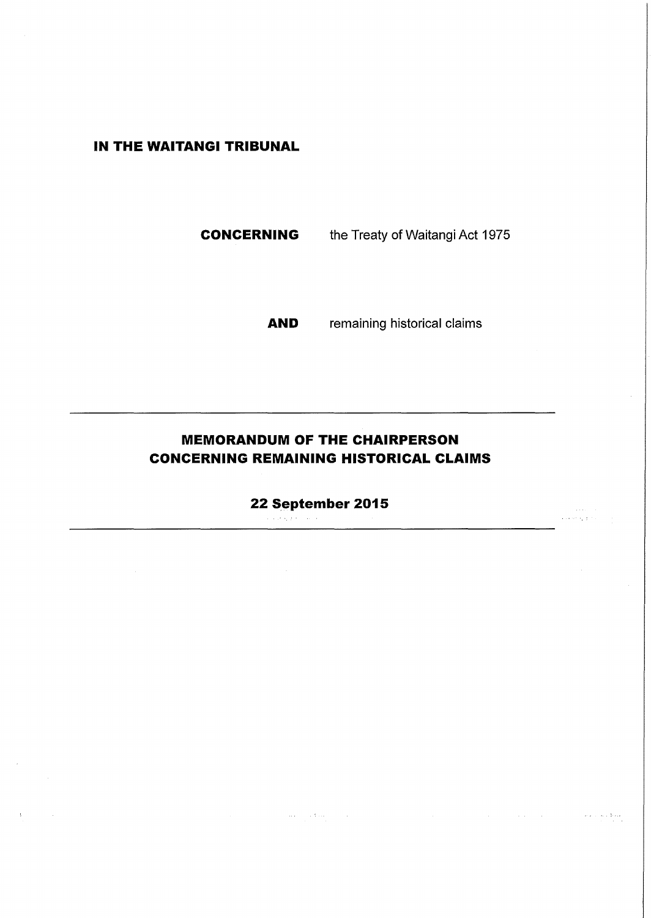# **IN THE WAITANGI TRIBUNAL**

**CONCERNING** the Treaty of Waitangi Act 1975

**AND** remaining historical claims

 $\bar{z}$  ,  $\bar{z}$  ,

والدادة

المتحف والتحاجي لأعام

# **MEMORANDUM OF THE CHAIRPERSON CONCERNING REMAINING HISTORICAL CLAIMS**

**22 September 2015** الجوارة المحالة

 $\langle \hat{u} \rangle_{\rm{max}} = \sqrt{1/\hat{u}^2}$  , where

 $\cdot$ 

 $\sim$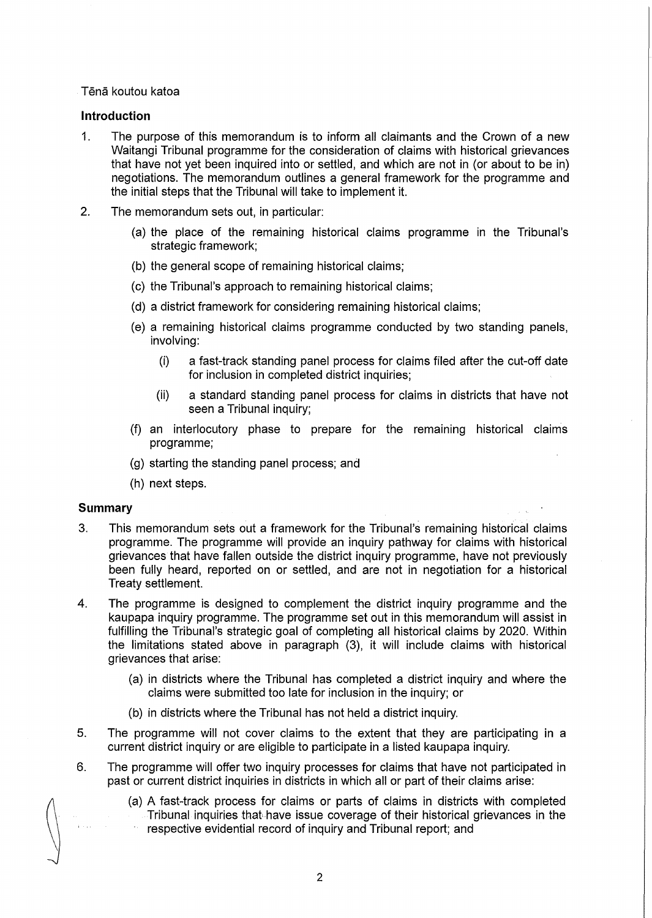# Tena koutou katoa

# **Introduction**

- 1. The purpose of this memorandum is to inform all claimants and the Crown of a new Waitangi Tribunal programme for the consideration of claims with historical grievances that have not yet been inquired into or settled, and which are not in (or about to be in) negotiations. The memorandum outlines a general framework for the programme and the initial steps that the Tribunal will take to implement it.
- 2. The memorandum sets out, in particular:
	- (a) the place of the remaining historical claims programme in the Tribunal's strategic framework;
	- (b) the general scope of remaining historical claims;
	- (c) the Tribunal's approach to remaining historical claims;
	- (d) a district framework for considering remaining historical claims;
	- (e) a remaining historical claims programme conducted by two standing panels, involving:
		- (i) a fast-track standing panel process for claims filed after the cut-off date for inclusion in completed district inquiries;
		- (ii) a standard standing panel process for claims in districts that have not seen a Tribunal inquiry;
	- (f) an interlocutory phase to prepare for the remaining historical claims programme;
	- (g) starting the standing panel process; and
	- (h) next steps.

# **Summary**

- 3. This memorandum sets out a framework for the Tribunal's remaining historical claims programme. The programme will provide an inquiry pathway for claims with historical grievances that have fallen outside the district inquiry programme, have not previously been fully heard, reported on or settled, and are not in negotiation for a historical Treaty settlement.
- 4. The programme is designed to complement the district inquiry programme and the kaupapa inquiry programme. The programme set out in this memorandum will assist in fulfilling the Tribunal's strategic goal of completing all historical claims by 2020. Within the limitations stated above in paragraph (3), it will include claims with historical grievances that arise:
	- (a) in districts where the Tribunal has completed a district inquiry and where the claims were submitted too late for inclusion in the inquiry; or
	- (b) in districts where the Tribunal has not held a district inquiry.
- 5. The programme will not cover claims to the extent that they are participating in a current district inquiry or are eligible to participate in a listed kaupapa inquiry.
- 6. The programme will offer two inquiry processes for claims that have not participated in past or current district inquiries in districts in which all or part of their claims arise:
	- (a) A fast-track process for claims or parts of claims in districts with completed Tribunal inquiries that\have issue coverage of their historical grievances in the respective evidential record of inquiry and Tribunal report; and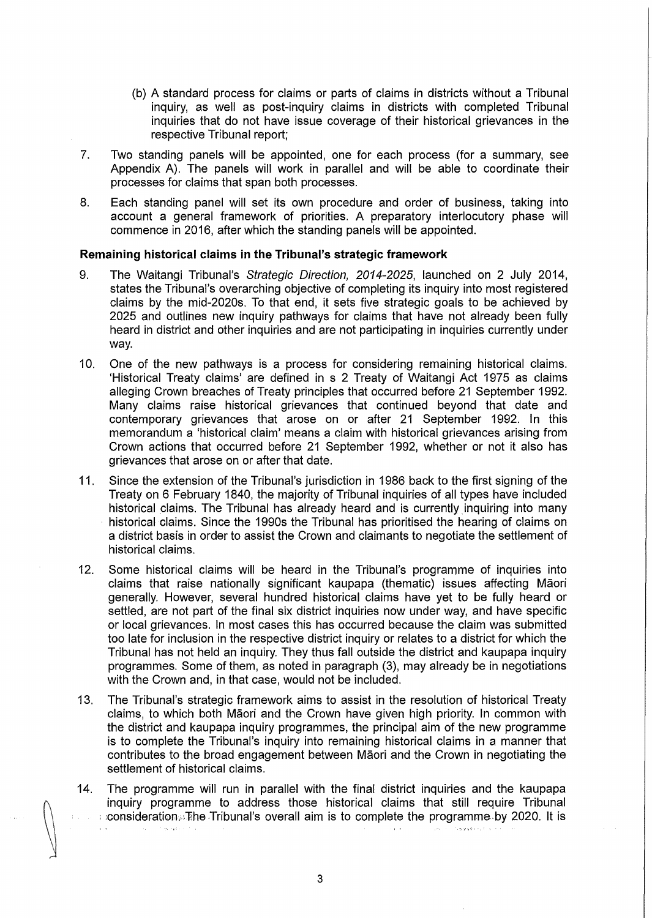- (b) A standard process for claims or parts of claims in districts without a Tribunal inquiry, as well as post-inquiry claims in districts with completed Tribunal inquiries that do not have issue coverage of their historical grievances in the respective Tribunal report;
- 7. Two standing panels will be appointed, one for each process (for a summary, see Appendix A). The panels will work in parallel and will be able to coordinate their processes for claims that span both processes.
- 8. Each standing panel will set its own procedure and order of business, taking into account a general framework of priorities. A preparatory interlocutory phase will commence in 2016, after which the standing panels will be appointed.

# **Remaining historical claims in the Tribunal's strategic framework**

- 9. The Waitangi Tribunal's Strategic Direction, 2014-2025, launched on 2 July 2014, states the Tribunal's overarching objective of completing its inquiry into most registered claims by the mid-2020s. To that end, it sets five strategic goals to be achieved by 2025 and outlines new inquiry pathways for claims that have not already been fully heard in district and other inquiries and are not participating in inquiries currently under way.
- 10. One of the new pathways is a process for considering remaining historical claims. 'Historical Treaty claims' are defined in s 2 Treaty of Waitangi Act 1975 as claims alleging Crown breaches of Treaty principles that occurred before 21 September 1992. Many claims raise historical grievances that continued beyond that date and contemporary grievances that arose on or after 21 September 1992. In this memorandum a 'historical claim' means a claim with historical grievances arising from Crown actions that occurred before 21 September 1992, whether or not it also has grievances that arose on or after that date.
- 11. Since the extension of the Tribunal's jurisdiction in 1986 back to the first signing of the Treaty on 6 February 1840, the majority of Tribunal inquiries of all types have included historical claims. The Tribunal has already heard and is currently inquiring into many historical claims. Since the 1990s the Tribunal has prioritised the hearing of claims on a district basis in order to assist the Crown and claimants to negotiate the settlement of historical claims.
- 12. Some historical claims will be heard in the Tribunal's programme of inquiries into claims that raise nationally significant kaupapa (thematic) issues affecting Maori generally. However, several hundred historical claims have yet to be fully heard or settled, are not part of the final six district inquiries now under way, and have specific or local grievances. In most cases this has occurred because the claim was submitted too late for inclusion in the respective district inquiry or relates to a district for which the Tribunal has not held an inquiry. They thus fall outside the district and kaupapa inquiry programmes. Some of them, as noted in paragraph (3), may already be in negotiations with the Crown and, in that case, would not be included.
- 13. The Tribunal's strategic framework aims to assist in the resolution of historical Treaty claims, to which both Maori and the Crown have given high priority. In common with the district and kaupapa inquiry programmes, the principal aim of the new programme is to complete the Tribunal's inquiry into remaining historical claims in a manner that contributes to the broad engagement between Maori and the Crown in negotiating the settlement of historical claims.
- 14. The programme will run in parallel with the final district inquiries and the kaupapa inquiry programme to address those historical claims that still require Tribunal : :consideration.iThe Tribunal's overall aim is to complete the programme ,by 2020. It is  $\sim$ -'.)·,i.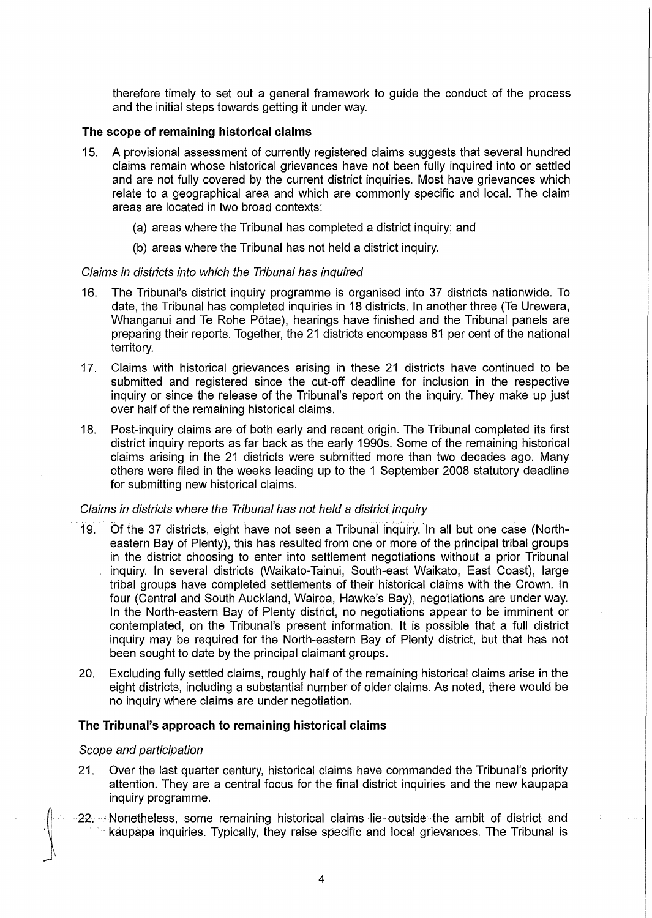therefore timely to set out a general framework to guide the conduct of the process and the initial steps towards getting it under way.

# **The scope of remaining historical claims**

- 15. A provisional assessment of currently registered claims suggests that several hundred claims remain whose historical grievances have not been fully inquired into or settled and are not fully covered by the current district inquiries. Most have grievances which relate to a geographical area and which are commonly specific and local. The claim areas are located in two broad contexts:
	- (a) areas where the Tribunal has completed a district inquiry; and
	- (b) areas where the Tribunal has not held a district inquiry.

# Claims in districts into which the Tribunal has inquired

- 16. The Tribunal's district inquiry programme is organised into 37 districts nationwide. To date, the Tribunal has completed inquiries in 18 districts. In another three (Te Urewera, Whanganui and Te Rohe P5tae), hearings have finished and the Tribunal panels are preparing their reports. Together, the 21 districts encompass 81 per cent of the national territory.
- 17. Claims with historical grievances arising in these 21 districts have continued to be submitted and registered since the cut-off deadline for inclusion in the respective inquiry or since the release of the Tribunal's report on the inquiry. They make up just over half of the remaining historical claims.
- 18. Post-inquiry claims are of both early and recent origin. The Tribunal completed its first district inquiry reports as far back as the early 1990s. Some of the remaining historical claims arising in the 21 districts were submitted more than two decades ago. Many others were filed in the weeks leading up to the 1 September 2008 statutory deadline for submitting new historical claims.

# Claims in districts where the Tribunal has not held a district inquiry

- 19. Of the 37 districts, eight have not seen a Tribunal inquiry. In all but one case (Northeastern Bay of Plenty), this has resulted from one or more of the principal tribal groups in the district choosing to enter into settlement negotiations without a prior Tribunal inquiry. In several districts (Waikato-Tainui, South-east Waikato, East Coast), large tribal groups have completed settlements of their historical claims with the Crown. In four (Central and South Auckland, Wairoa, Hawke's Bay), negotiations are under way. In the North-eastern Bay of Plenty district, no negotiations appear to be imminent or contemplated, on the Tribunal's present information. It is possible that a full district inquiry may be required for the North-eastern Bay of Plenty district, but that has not been sought to date by the principal claimant groups.
- 20. Excluding fully settled claims, roughly half of the remaining historical claims arise in the eight districts, including a substantial number of older claims. As noted, there would be no inquiry where claims are under negotiation.

# **The Tribunal's approach to remaining historical claims**

# Scope and participation

- 21. Over the last quarter century, historical claims have commanded the Tribunal's priority attention. They are a central focus for the final district inquiries and the new kaupapa inquiry programme.
- $22$ ,  $\approx$  Nonetheless, some remaining historical claims lie outside the ambit of district and **We kaupapa inquiries. Typically, they raise specific and local grievances. The Tribunal is**

 $\frac{1}{2}$  ,  $\frac{1}{2}$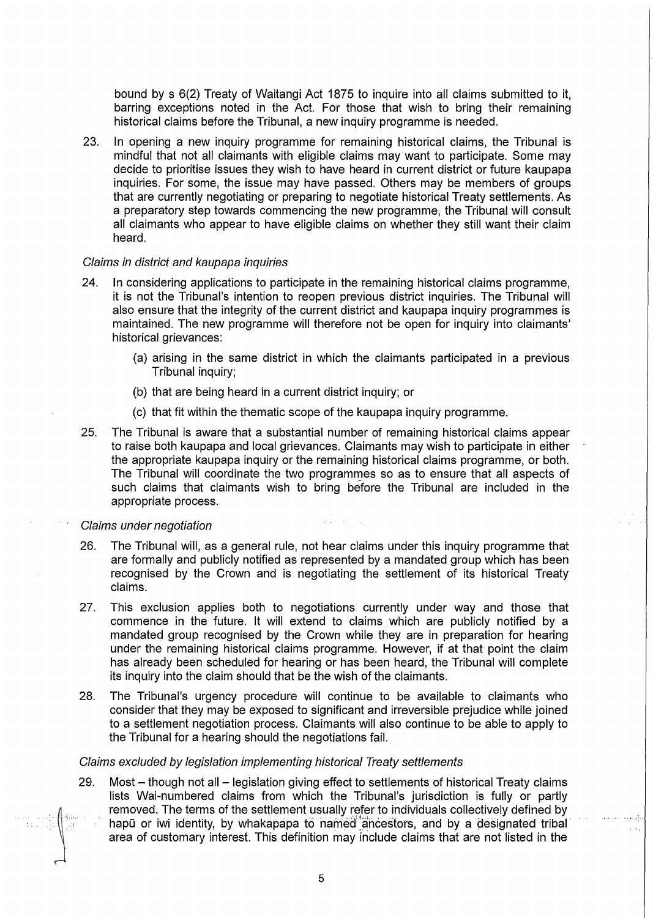bound by s 6(2) Treaty of Waitangi Act 1875 to inquire into all claims submitted to it, barring exceptions noted in the Act. For those that wish to bring their remaining historical claims before the Tribunal, a new inquiry programme is needed.

23. In opening a new inquiry programme for remaining historical claims, the Tribunal is mindful that not all claimants with eligible claims may want to participate. Some may decide to prioritise issues they wish to have heard in current district or future kaupapa inquiries. For some, the issue may have passed. Others may be members of groups that are currently negotiating or preparing to negotiate historical Treaty settlements. As a preparatory step towards commencing the new programme, the Tribunal will consult all claimants who appear to have eligible claims on whether they still want their claim heard.

## Claims in district and kaupapa inquiries

- 24. In considering applications to participate in the remaining historical claims programme, it is not the Tribunal's intention to reopen previous district inquiries. The Tribunal will also ensure that the integrity of the current district and kaupapa inquiry programmes is maintained. The new programme will therefore not be open for inquiry into claimants' historical grievances:
	- (a) arising in the same district in which the claimants participated in a previous Tribunal inquiry;
	- (b) that are being heard in a current district inquiry; or
	- (c) that fit within the thematic scope of the kaupapa inquiry programme.
- 25. The Tribunal is aware that a substantial number of remaining historical claims appear to raise both kaupapa and local grievances. Claimants may wish to participate in either the appropriate kaupapa inquiry or the remaining historical claims programme, or both. The Tribunal will coordinate the two programmes so as to ensure that all aspects of such claims that claimants wish to bring before the Tribunal are included in the appropriate process.

#### Claims under negotiation

- 26. The Tribunal will, as a general rule, not hear claims under this inquiry programme that are formally and publicly notified as represented by a mandated group which has been recognised by the Crown and is negotiating the settlement of its historical Treaty claims.
- 27. This exclusion applies both to negotiations currently under way and those that commence in the future. It will extend to claims which are publicly notified by a mandated group recognised by the Crown while they are in preparation for hearing under the remaining historical claims programme. However, if at that point the claim has already been scheduled for hearing or has been heard, the Tribunal will complete its inquiry into the claim should that be the wish of the claimants.
- 28. The Tribunal's urgency procedure will continue to be available to claimants who consider that they may be exposed to significant and irreversible prejudice while joined to a settlement negotiation process. Claimants will also continue to be able to apply to the Tribunal for a hearing should the negotiations fail.

#### Claims excluded by legislation implementing historical Treaty settlements

29. Most - though not all - legislation giving effect to settlements of historical Treaty claims lists Wai-numbered claims from which the Tribunal's jurisdiction is fully or partly removed. The terms of the settlement usually refer to individuals collectively defined by hapū or iwi identity, by whakapapa to named ancestors, and by a designated tribal area of customary interest. This definition may include claims that are not listed in the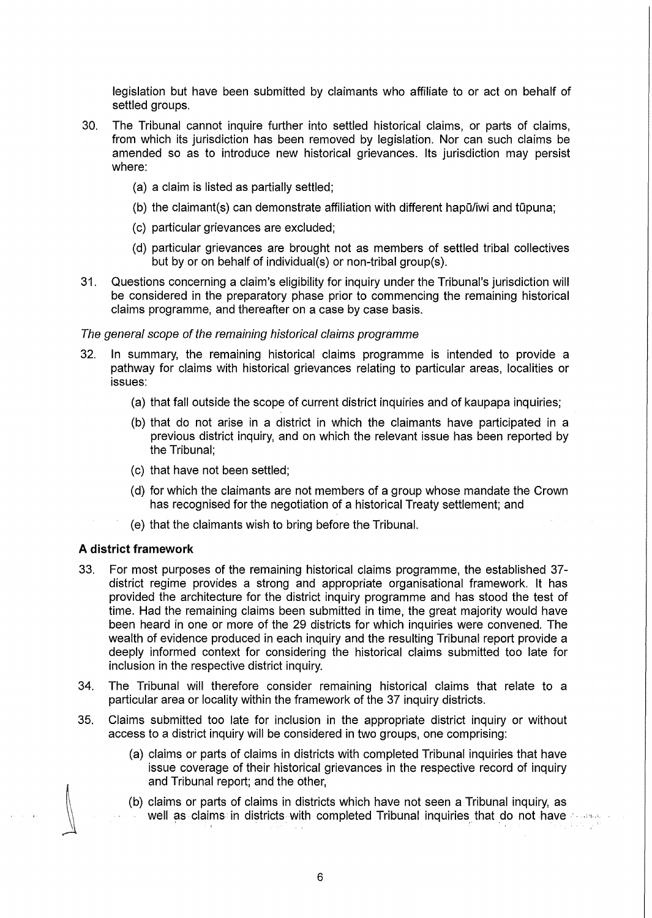legislation but have been submitted by claimants who affiliate to or act on behalf of settled groups.

- 30. The Tribunal cannot inquire further into settled historical claims, or parts of claims, from which its jurisdiction has been removed by legislation. Nor can such claims be amended so as to introduce new historical grievances. Its jurisdiction may persist where:
	- (a) a claim is listed as partially settled;
	- $(b)$  the claimant(s) can demonstrate affiliation with different hap $\ddot{u}$  and tupuna;
	- (c) particular grievances are excluded;
	- (d) particular grievances are brought not as members of settled tribal collectives but by or on behalf of individual(s) or non-tribal group(s).
- 31. Questions concerning a claim's eligibility for inquiry under the Tribunal's jurisdiction will be considered in the preparatory phase prior to commencing the remaining historical claims programme, and thereafter on a case by case basis.

# The general scope of the remaining historical claims programme

- 32. In summary, the remaining historical claims programme is intended to provide a pathway for claims with historical grievances relating to particular areas, localities or issues:
	- (a) that fall outside the scope of current district inquiries and of kaupapa inquiries;
	- (b) that do not arise in a district in which the claimants have participated in a previous district inquiry, and on which the relevant issue has been reported by the Tribunal;
	- (c) that have not been settled;
	- (d) for which the claimants are not members of a group whose mandate the Crown has recognised for the negotiation of a historical Treaty settlement; and
	- (e) that the claimants wish to bring before the Tribunal.

# **A district framework**

- 33. For most purposes of the remaining historical claims programme, the established 37 district regime provides a strong and appropriate organisational framework. It has provided the architecture for the district inquiry programme and has stood the test of time. Had the remaining claims been submitted in time, the great majority would have been heard in one or more of the 29 districts for which inquiries were convened. The wealth of evidence produced in each inquiry and the resulting Tribunal report provide a deeply informed context for considering the historical claims submitted too late for inclusion in the respective district inquiry.
- 34. The Tribunal will therefore consider remaining historical claims that relate to a particular area or locality within the framework of the 37 inquiry districts.
- 35. Claims submitted too late for inclusion in the appropriate district inquiry or without access to a district inquiry will be considered in two groups, one comprising:
	- (a) claims or parts of claims in districts with completed Tribunal inquiries that have issue coverage of their historical grievances in the respective record of inquiry and Tribunal report; and the other,
	- (b) claims or parts of claims in districts which have not seen a Tribunal inquiry, as well as claims in districts with completed Tribunal inquiries that do not have interest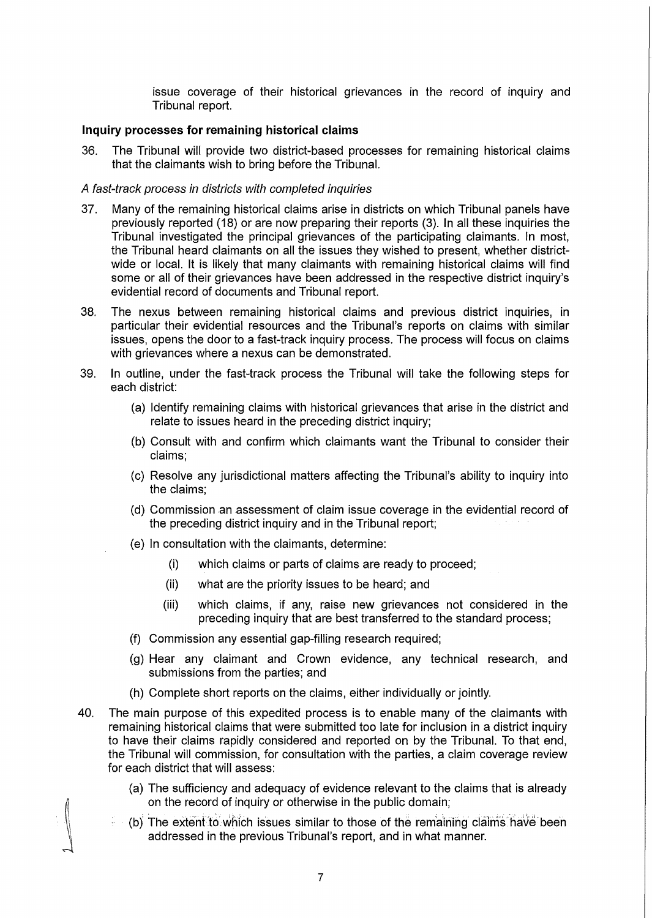issue coverage of their historical grievances in the record of inquiry and Tribunal report.

# **Inquiry processes for remaining historical claims**

36. The Tribunal will provide two district-based processes for remaining historical claims that the claimants wish to bring before the Tribunal.

# A fast-track process in districts with completed inquiries

- 37. Many of the remaining historical claims arise in districts on which Tribunal panels have previously reported (18) or are now preparing their reports (3). In all these inquiries the Tribunal investigated the principal grievances of the participating claimants. In most, the Tribunal heard claimants on all the issues they wished to present, whether districtwide or local. It is likely that many claimants with remaining historical claims will find some or all of their grievances have been addressed in the respective district inquiry's evidential record of documents and Tribunal report.
- 38. The nexus between remaining historical claims and previous district inquiries, in particular their evidential resources and the Tribunal's reports on claims with similar issues, opens the door to a fast-track inquiry process. The process will focus on claims with grievances where a nexus can be demonstrated.
- 39. In outline, under the fast-track process the Tribunal will take the following steps for each district:
	- (a) Identify remaining claims with historical grievances that arise in the district and relate to issues heard in the preceding district inquiry;
	- (b) Consult with and confirm which claimants want the Tribunal to consider their claims;
	- (c) Resolve any jurisdictional matters affecting the Tribunal's ability to inquiry into the claims;
	- (d) Commission an assessment of claim issue coverage in the evidential record of the preceding district inquiry and in the Tribunal report;
	- (e) In consultation with the claimants, determine:
		- (i) which claims or parts of claims are ready to proceed;
		- (ii) what are the priority issues to be heard; and
		- (iii) which claims, if any, raise new grievances not considered in the preceding inquiry that are best transferred to the standard process;
	- (f) Commission any essential gap-filling research required;
	- (g) Hear any claimant and Crown evidence, any technical research, and submissions from the parties; and
	- (h) Complete short reports on the claims, either individually or jointly.
- 40. The main purpose of this expedited process is to enable many of the claimants with remaining historical claims that were submitted too late for inclusion in a district inquiry to have their claims rapidly considered and reported on by the Tribunal. To that end, the Tribunal will commission, for consultation with the parties, a claim coverage review for each district that will assess:
	- (a) The sufficiency and adequacy of evidence relevant to the claims that is already on the record of inquiry or otherwise in the public domain;
	- (b) The extent to which issues similar to those of the remaining claims have been addressed in the previous Tribunal's report, and in what manner.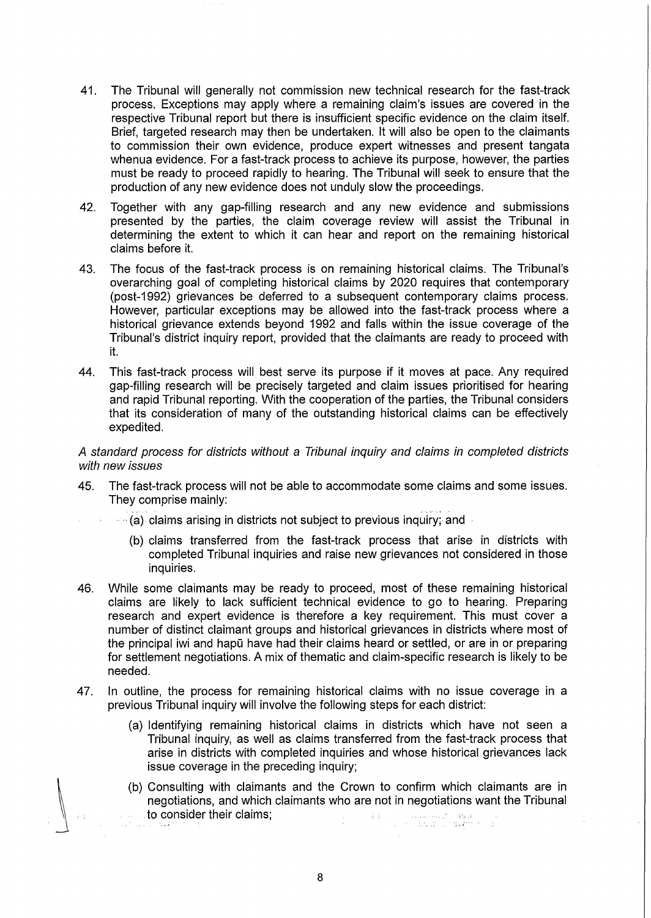- 41. The Tribunal will generally not commission new technical research for the fast-track process. Exceptions may apply where a remaining claim's issues are covered in the respective Tribunal report but there is insufficient specific evidence on the claim itself. Brief, targeted research may then be undertaken. It will also be open to the claimants to commission their own evidence, produce expert witnesses and present tangata whenua evidence. For a fast-track process to achieve its purpose, however, the parties must be ready to proceed rapidly to hearing. The Tribunal will seek to ensure that the production of any new evidence does not unduly slow the proceedings.
- 42. Together with any gap-filling research and any new evidence and submissions presented by the parties, the claim coverage review will assist the Tribunal in determining the extent to which it can hear and report on the remaining historical claims before it.
- 43. The focus of the fast-track process is on remaining historical claims. The Tribunal's overarching goal of completing historical claims by 2020 requires that contemporary (post-1992) grievances be deferred to a subsequent contemporary claims process. However, particular exceptions may be allowed into the fast-track process where a historical grievance extends beyond 1992 and falls within the issue coverage of the Tribunal's district inquiry report, provided that the claimants are ready to proceed with it.
- 44. This fast-track process will best serve its purpose if it moves at pace. Any required gap-filling research will be precisely targeted and claim issues prioritised for hearing and rapid Tribunal reporting. With the cooperation of the parties, the Tribunal considers that its consideration of many of the outstanding historical claims can be effectively expedited.

A standard process for districts without a Tribunal inquiry and claims in completed districts with new issues

- 45. The fast-track process will not be able to accommodate some claims and some issues. They comprise mainly:
	- ..... (a) claims arising in districts not subject to previous inquiry; and
		- (b) claims transferred from the fast-track process that arise in districts with completed Tribunal inquiries and raise new grievances not considered in those inquiries.
- 46. While some claimants may be ready to proceed, most of these remaining historical claims are likely to lack sufficient technical evidence to go to hearing. Preparing research and expert evidence is therefore a key requirement. This must cover a number of distinct claimant groups and historical grievances in districts where most of the principal iwi and hapū have had their claims heard or settled, or are in or preparing for settlement negotiations. A mix of thematic and claim-specific research is likely to be needed.
- 47. In outline, the process for remaining historical claims with no issue coverage in a previous Tribunal inquiry will involve the following steps for each district:
	- (a) Identifying remaining historical claims in districts which have not seen a Tribunal inquiry, as well as claims transferred from the fast-track process that arise in districts with completed inquiries and whose historical grievances lack issue coverage in the preceding inquiry;
	- (b) Consulting with claimants and the Crown to confirm which claimants are in negotiations, and which claimants who are not in negotiations want the Tribunal . to consider their claims;  $\frac{1}{2}$  ,  $\frac{1}{2}$  ,  $\frac{1}{2}$  ,  $\frac{1}{2}$  ,  $\frac{1}{2}$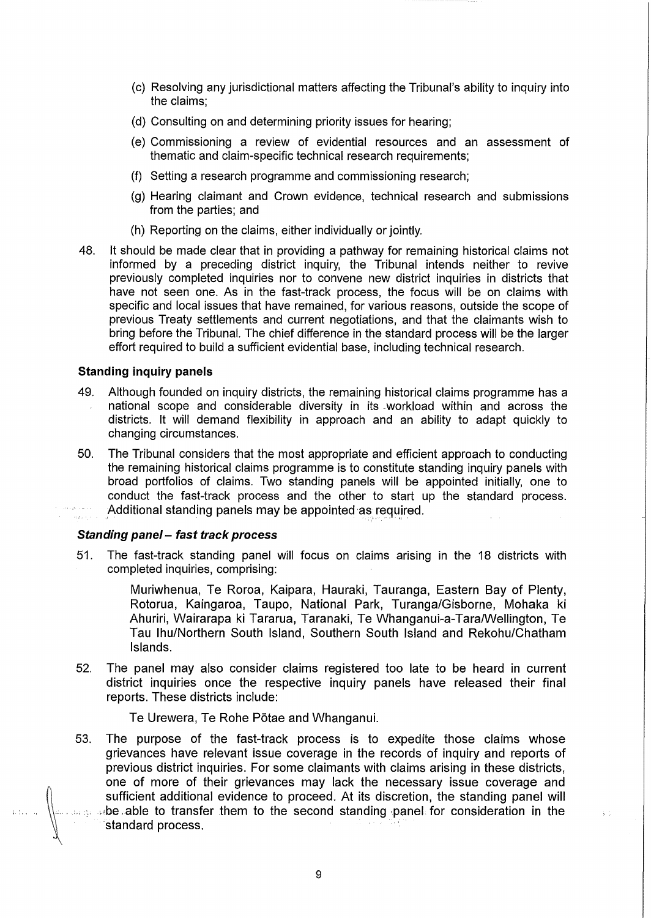- (c) Resolving any jurisdictional matters affecting the Tribunal's ability to inquiry into the claims;
- (d) Consulting on and determining priority issues for hearing;
- (e) Commissioning a review of evidential resources and an assessment of thematic and claim-specific technical research requirements;
- (f) Setting a research programme and commissioning research;
- (g) Hearing claimant and Crown evidence, technical research and submissions from the parties; and
- (h) Reporting on the claims, either individually or jointly.
- 48. It should be made clear that in providing a pathway for remaining historical claims not informed by a preceding district inquiry, the Tribunal intends neither to revive previously completed inquiries nor to convene new district inquiries in districts that have not seen one. As in the fast-track process, the focus will be on claims with specific and local issues that have remained, for various reasons, outside the scope of previous Treaty settlements and current negotiations, and that the claimants wish to bring before the Tribunal. The chief difference in the standard process will be the larger effort required to build a sufficient evidential base, including technical research.

# **Standing inquiry panels**

- 49. Although founded on inquiry districts, the remaining historical claims programme has a national scope and considerable diversity in its -workload within and across the districts. It will demand flexibility in approach and an ability to adapt quickly to changing circumstances.
- 50. The Tribunal considers that the most appropriate and efficient approach to conducting the remaining historical claims programme is to constitute standing inquiry panels with broad portfolios of claims. Two standing panels will be appointed initially, one to conduct the fast-track process and the other to start up the standard process. Additional standing panels may be appointed as required.

# **Standing pane/- fast track process**

51. The fast-track standing panel will focus on claims arising in the 18 districts with completed inquiries, comprising:

> Muriwhenua, Te Roroa, Kaipara, Hauraki, Tauranga, Eastern Bay of Plenty, Rotorua, Kaingaroa, Taupo, National Park, Turanga/Gisborne, Mohaka ki Ahuriri, Wairarapa ki Tararua, Taranaki, Te Whanganui-a-TaralWellington, Te Tau Ihu/Northern South Island, Southern South Island and Rekohu/Chatham Islands.

52. The panel may also consider claims registered too late to be heard in current district inquiries once the respective inquiry panels have released their final reports. These districts include:

Te Urewera, Te Rohe P5tae and Whanganui.

53. The purpose of the fast-track process is to expedite those claims whose grievances have relevant issue coverage in the records of inquiry and reports of previous district inquiries. For some claimants with claims arising in these districts, one of more of their grievances may lack the necessary issue coverage and sufficient additional evidence to proceed. At its discretion, the standing panel will whe able to transfer them to the second standing panel for consideration in the standard process.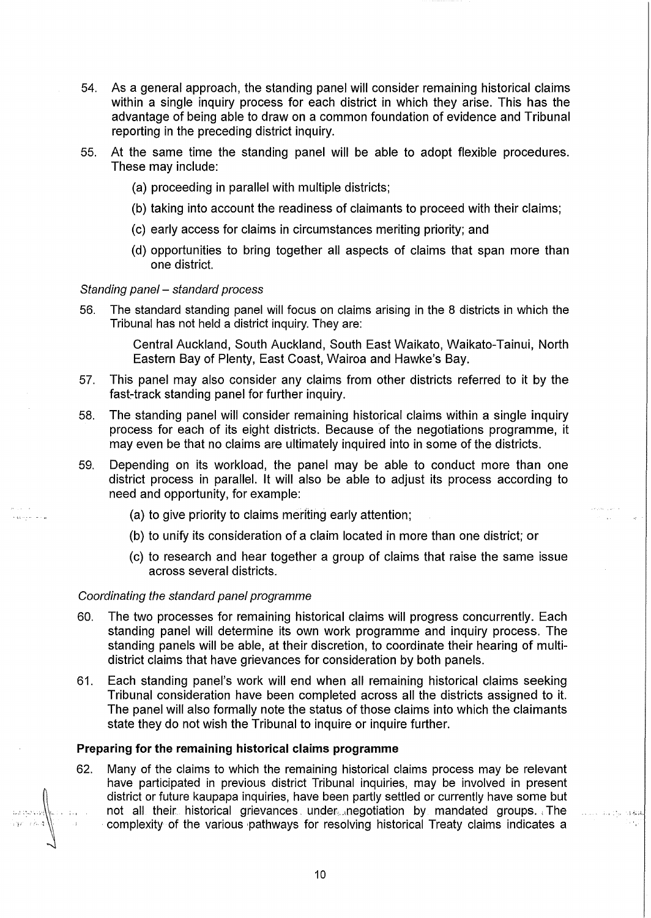- 54. As a general approach, the standing panel will consider remaining historical claims within a single inquiry process for each district in which they arise. This has the advantage of being able to draw on a common foundation of evidence and Tribunal reporting in the preceding district inquiry.
- 55. At the same time the standing panel will be able to adopt flexible procedures. These may include:
	- (a) proceeding in parallel with multiple districts;
	- (b) taking into account the readiness of claimants to proceed with their claims;
	- (c) early access for claims in circumstances meriting priority; and
	- (d) opportunities to bring together all aspects of claims that span more than one district.

## Standing panel - standard process

56. The standard standing panel will focus on claims arising in the 8 districts in which the Tribunal has not held a district inquiry. They are:

> Central Auckland, South Auckland, South East Waikato, Waikato-Tainui, North Eastern Bay of Plenty, East Coast, Wairoa and Hawke's Bay.

- 57. This panel may also consider any claims from other districts referred to it by the fast-track standing panel for further inquiry.
- 58. The standing panel will consider remaining historical claims within a single inquiry process for each of its eight districts. Because of the negotiations programme, it may even be that no claims are ultimately inquired into in some of the districts.
- 59. Depending on its workload, the panel may be able to conduct more than one district process in parallel. It will also be able to adjust its process according to need and opportunity, for example:
	- (a) to give priority to claims meriting early attention;
	- (b) to unify its consideration of a claim located in more than one district; or
	- (c) to research and hear together a group of claims that raise the same issue across several districts.

#### Coordinating the standard panel programme

.<br>Vaati een toete

- 60. The two processes for remaining historical claims will progress concurrently. Each standing panel will determine its own work programme and inquiry process. The standing panels will be able, at their discretion, to coordinate their hearing of multidistrict claims that have grievances for consideration by both panels.
- 61. Each standing panel's work will end when all remaining historical claims seeking Tribunal consideration have been completed across all the districts assigned to it. The panel will also formally note the status of those claims into which the claimants state they do not wish the Tribunal to inquire or inquire further.

#### **Preparing for the remaining historical claims programme**

62. Many of the claims to which the remaining historical claims process may be relevant have participated in previous district Tribunal inquiries, may be involved in present district or future kaupapa inquiries, have been partly settled or currently have some but not all their historical grievances under negotiation by mandated groups. The complexity of the various pathways for resolving historical Treaty claims indicates a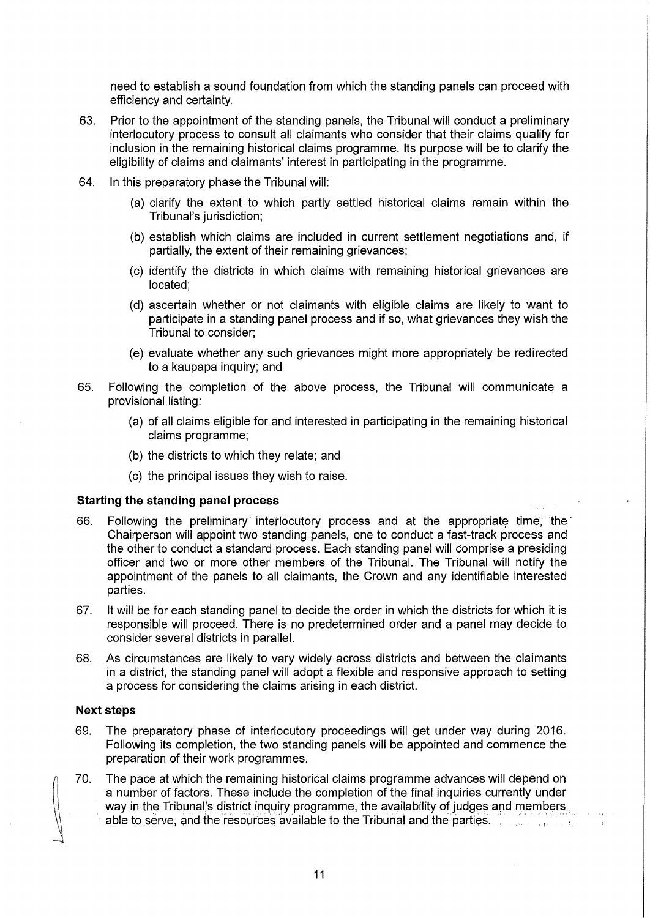need to establish a sound foundation from which the standing panels can proceed with efficiency and certainty.

- 63. Prior to the appointment of the standing panels, the Tribunal will conduct a preliminary interlocutory process to consult all claimants who consider that their claims qualify for inclusion in the remaining historical claims programme. Its purpose will be to clarify the eligibility of claims and claimants' interest in participating in the programme.
- 64. In this preparatory phase the Tribunal will:
	- (a) clarify the extent to which partly settled historical claims remain within the Tribunal's jurisdiction;
	- (b) establish which claims are included in current settlement negotiations and, if partially, the extent of their remaining grievances;
	- (c) identify the districts in which claims with remaining historical grievances are located;
	- (d) ascertain whether or not claimants with eligible claims are likely to want to participate in a standing panel process and if so, what grievances they wish the Tribunal to consider;
	- (e) evaluate whether any such grievances might more appropriately be redirected to a kaupapa inquiry; and
- 65. Following the completion of the above process, the Tribunal will communicate a provisional listing:
	- (a) of all claims eligible for and interested in participating in the remaining historical claims programme;
	- (b) the districts to which they relate; and
	- (c) the principal issues they wish to raise.

### **Starting the standing panel process**

- 66. Following the preliminary interlocutory process and at the appropriate time, the Chairperson will appoint two standing panels, one to conduct a fast-track process and the other to conduct a standard process. Each standing panel will comprise a presiding officer and two or more other members of the Tribunal. The Tribunal will notify the appointment of the panels to all claimants, the Crown and any identifiable interested parties.
- 67. It will be for each standing panel to decide the order in which the districts for which it is responsible will proceed. There is no predetermined order and a panel may decide to consider several districts in parallel.
- 68. As circumstances are likely to vary widely across districts and between the claimants in a district, the standing panel will adopt a flexible and responsive approach to setting a process for considering the claims arising in each district.

#### **Next steps**

- 69. The preparatory phase of interlocutory proceedings will get under way during 2016. Following its completion, the two standing panels will be appointed and commence the preparation of their work programmes.
- 70. The pace at which the remaining historical claims programme advances will depend on a number of factors. These include the completion of the final inquiries currently under way in the Tribunal's district inquiry programme, the availability of judges and members able to serve, and the resources available to the Tribunal and the parties. . . . . . . . . . . . .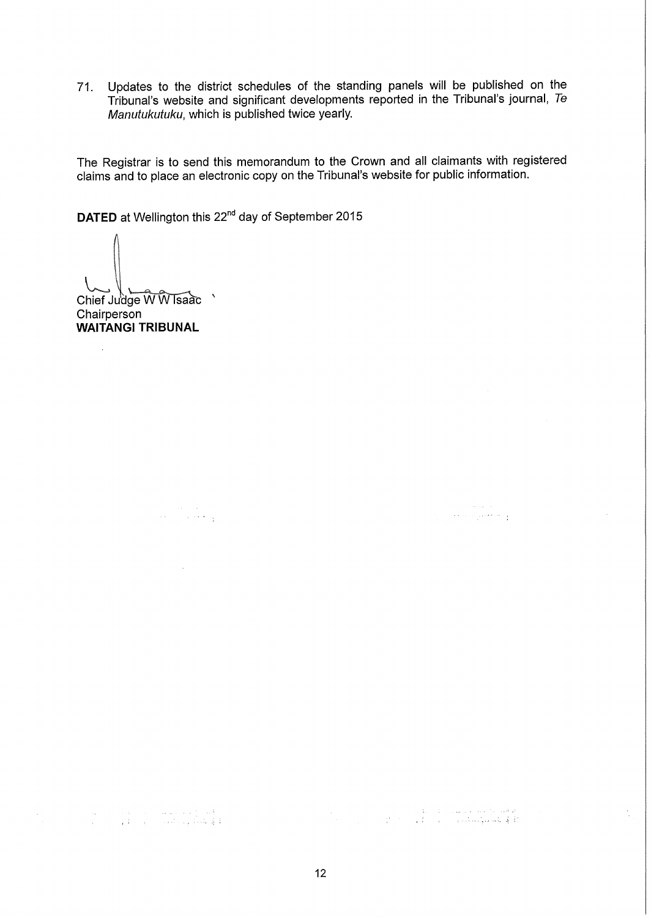71. Updates to the district schedules of the standing panels will be published on the Tribunal's website and significant developments reported in the Tribunal's journal, Te Manutukutuku, which is published twice yearly.

The Registrar is to send this memorandum to the Crown and all claimants with registered claims and to place an electronic copy on the Tribunal's website for public information.

**DATED** at Wellington this 22<sup>nd</sup> day of September 2015

 $Chief Judge WWIsaac$ 

**Chairperson WAITANGI TRIBUNAL** 

ing pangalang.<br>Pangalang pang

 $\sim 10^7$ 

المعلوم المعاملة المستشرب المعاملة المعاملة المعاملة.<br>وفي المعاملة المعاملة المعاملة المعاملة المعاملة المعاملة المعاملة المعاملة المعاملة المعاملة المعاملة المعامل

12

" ~ :

 $\label{eq:1} \begin{split} \mathcal{L}_{\text{max}}(\mathbf{r}) = \frac{1}{2} \mathcal{L}_{\text{max}}(\mathbf{r}) \mathcal{L}_{\text{max}}(\mathbf{r}) \\ \mathcal{L}_{\text{max}}(\mathbf{r}) = \frac{1}{2} \mathcal{L}_{\text{max}}(\mathbf{r}) \mathcal{L}_{\text{max}}(\mathbf{r}) \mathcal{L}_{\text{max}}(\mathbf{r}) \mathcal{L}_{\text{max}}(\mathbf{r}) \mathcal{L}_{\text{max}}(\mathbf{r}) \mathcal{L}_{\text{max}}(\mathbf{r}) \mathcal{L}_{\text{max}}(\mathbf{r}) \mathcal{$